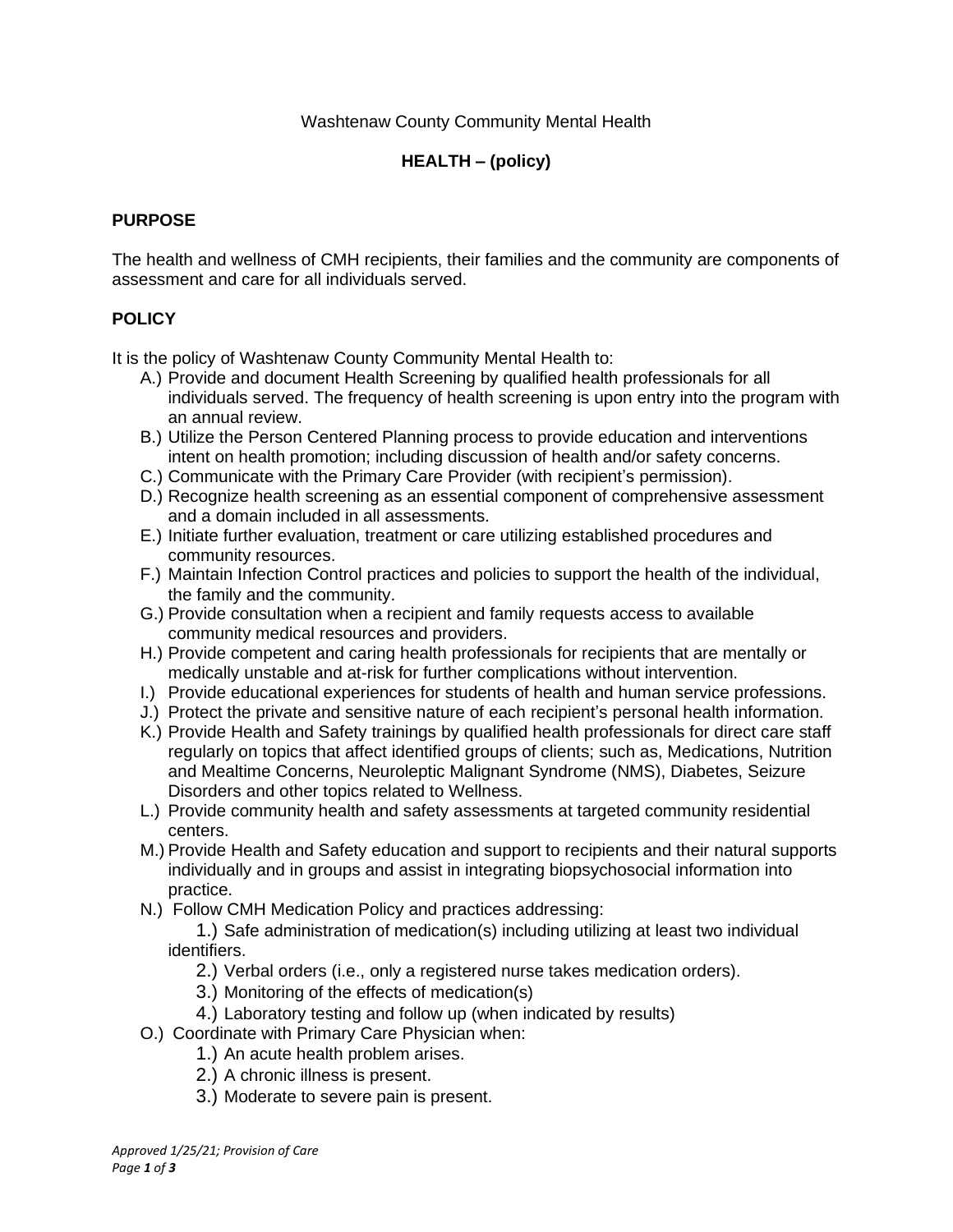## Washtenaw County Community Mental Health

# **HEALTH – (policy)**

#### **PURPOSE**

The health and wellness of CMH recipients, their families and the community are components of assessment and care for all individuals served.

#### **POLICY**

It is the policy of Washtenaw County Community Mental Health to:

- A.) Provide and document Health Screening by qualified health professionals for all individuals served. The frequency of health screening is upon entry into the program with an annual review.
- B.) Utilize the Person Centered Planning process to provide education and interventions intent on health promotion; including discussion of health and/or safety concerns.
- C.) Communicate with the Primary Care Provider (with recipient's permission).
- D.) Recognize health screening as an essential component of comprehensive assessment and a domain included in all assessments.
- E.) Initiate further evaluation, treatment or care utilizing established procedures and community resources.
- F.) Maintain Infection Control practices and policies to support the health of the individual, the family and the community.
- G.) Provide consultation when a recipient and family requests access to available community medical resources and providers.
- H.) Provide competent and caring health professionals for recipients that are mentally or medically unstable and at-risk for further complications without intervention.
- I.) Provide educational experiences for students of health and human service professions.
- J.) Protect the private and sensitive nature of each recipient's personal health information.
- K.) Provide Health and Safety trainings by qualified health professionals for direct care staff regularly on topics that affect identified groups of clients; such as, Medications, Nutrition and Mealtime Concerns, Neuroleptic Malignant Syndrome (NMS), Diabetes, Seizure Disorders and other topics related to Wellness.
- L.) Provide community health and safety assessments at targeted community residential centers.
- M.) Provide Health and Safety education and support to recipients and their natural supports individually and in groups and assist in integrating biopsychosocial information into practice.
- N.) Follow CMH Medication Policy and practices addressing:

1.) Safe administration of medication(s) including utilizing at least two individual identifiers.

- 2.) Verbal orders (i.e., only a registered nurse takes medication orders).
- 3.) Monitoring of the effects of medication(s)
- 4.) Laboratory testing and follow up (when indicated by results)
- O.) Coordinate with Primary Care Physician when:
	- 1.) An acute health problem arises.
	- 2.) A chronic illness is present.
	- 3.) Moderate to severe pain is present.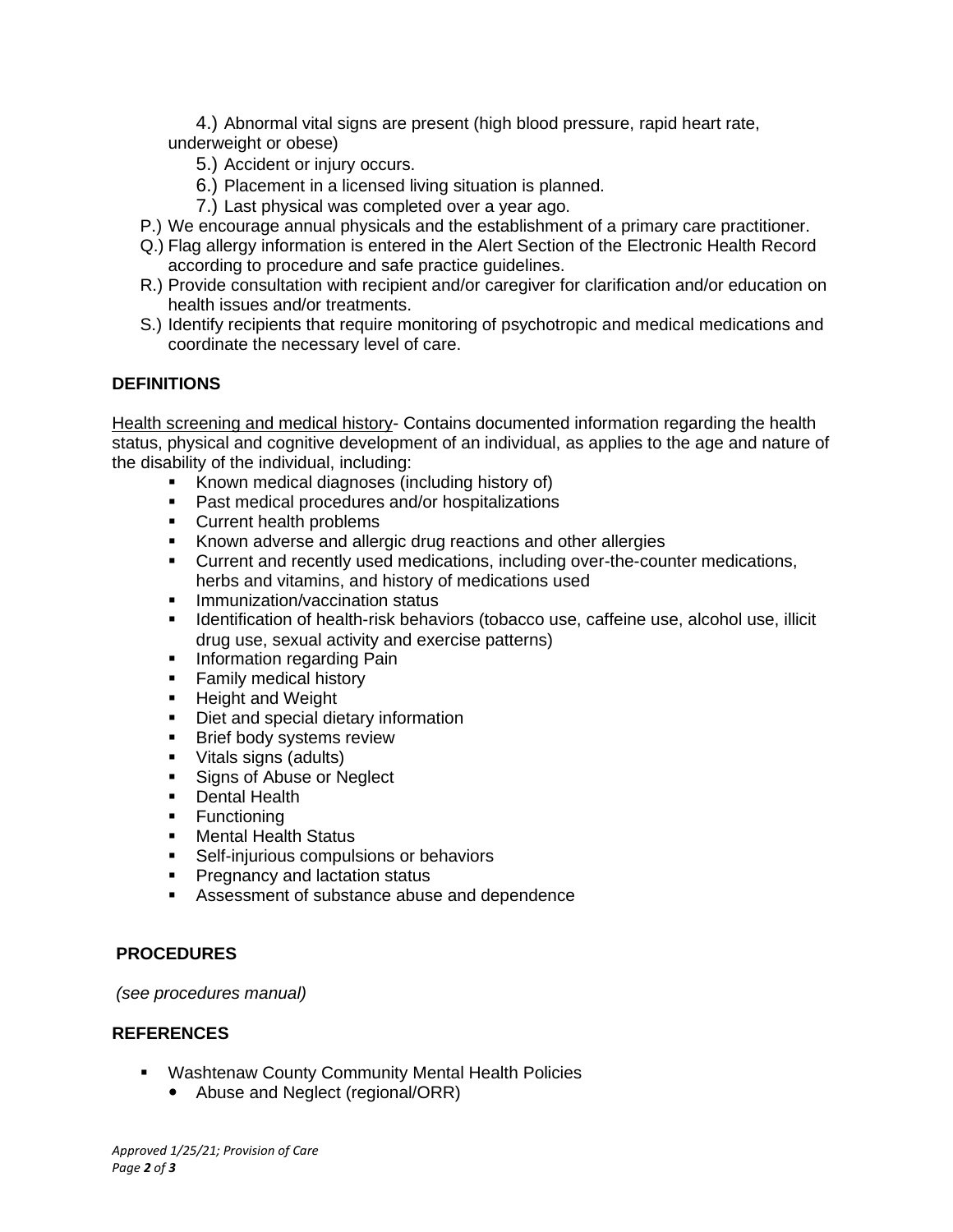4.) Abnormal vital signs are present (high blood pressure, rapid heart rate, underweight or obese)

- 5.) Accident or injury occurs.
- 6.) Placement in a licensed living situation is planned.
- 7.) Last physical was completed over a year ago.
- P.) We encourage annual physicals and the establishment of a primary care practitioner.
- Q.) Flag allergy information is entered in the Alert Section of the Electronic Health Record according to procedure and safe practice guidelines.
- R.) Provide consultation with recipient and/or caregiver for clarification and/or education on health issues and/or treatments.
- S.) Identify recipients that require monitoring of psychotropic and medical medications and coordinate the necessary level of care.

## **DEFINITIONS**

Health screening and medical history- Contains documented information regarding the health status, physical and cognitive development of an individual, as applies to the age and nature of the disability of the individual, including:

- Known medical diagnoses (including history of)
- Past medical procedures and/or hospitalizations
- Current health problems
- **EXEL** Known adverse and allergic drug reactions and other allergies
- Current and recently used medications, including over-the-counter medications, herbs and vitamins, and history of medications used
- **·** Immunization/vaccination status
- **EXEDENT IDENT** Identification of health-risk behaviors (tobacco use, caffeine use, alcohol use, illicit drug use, sexual activity and exercise patterns)
- **•** Information regarding Pain
- **EXECUTE:** Family medical history
- **E** Height and Weight
- Diet and special dietary information
- **EXECUTE:** Brief body systems review
- Vitals signs (adults)
- Signs of Abuse or Neglect
- Dental Health
- Functioning
- Mental Health Status
- **EXECT:** Self-injurious compulsions or behaviors
- **•** Pregnancy and lactation status
- Assessment of substance abuse and dependence

## **PROCEDURES**

*(see procedures manual)*

## **REFERENCES**

- Washtenaw County Community Mental Health Policies
	- Abuse and Neglect (regional/ORR)